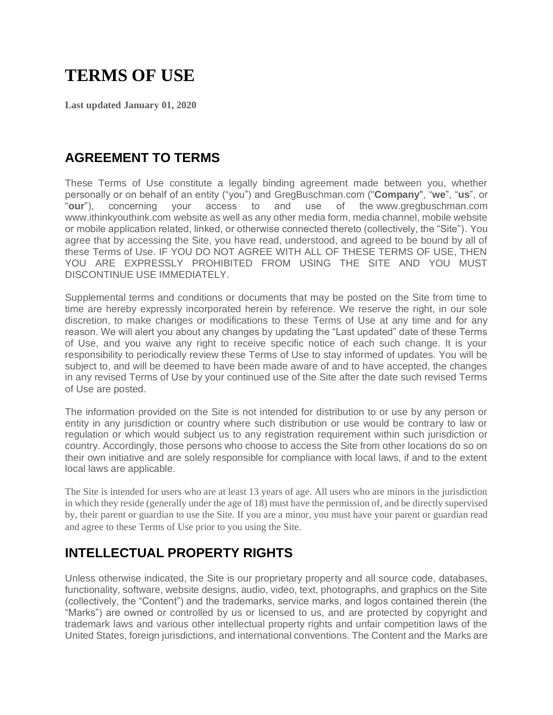# **TERMS OF USE**

**Last updated January 01, 2020**

### **AGREEMENT TO TERMS**

These Terms of Use constitute a legally binding agreement made between you, whether personally or on behalf of an entity ("you") and GregBuschman.com ("**Company**", "**we**", "**us**", or "**our**"), concerning your access to and use of the www.gregbuschman.com www.ithinkyouthink.com website as well as any other media form, media channel, mobile website or mobile application related, linked, or otherwise connected thereto (collectively, the "Site"). You agree that by accessing the Site, you have read, understood, and agreed to be bound by all of these Terms of Use. IF YOU DO NOT AGREE WITH ALL OF THESE TERMS OF USE, THEN YOU ARE EXPRESSLY PROHIBITED FROM USING THE SITE AND YOU MUST DISCONTINUE USE IMMEDIATELY.

Supplemental terms and conditions or documents that may be posted on the Site from time to time are hereby expressly incorporated herein by reference. We reserve the right, in our sole discretion, to make changes or modifications to these Terms of Use at any time and for any reason. We will alert you about any changes by updating the "Last updated" date of these Terms of Use, and you waive any right to receive specific notice of each such change. It is your responsibility to periodically review these Terms of Use to stay informed of updates. You will be subject to, and will be deemed to have been made aware of and to have accepted, the changes in any revised Terms of Use by your continued use of the Site after the date such revised Terms of Use are posted.

The information provided on the Site is not intended for distribution to or use by any person or entity in any jurisdiction or country where such distribution or use would be contrary to law or regulation or which would subject us to any registration requirement within such jurisdiction or country. Accordingly, those persons who choose to access the Site from other locations do so on their own initiative and are solely responsible for compliance with local laws, if and to the extent local laws are applicable.

The Site is intended for users who are at least 13 years of age. All users who are minors in the jurisdiction in which they reside (generally under the age of 18) must have the permission of, and be directly supervised by, their parent or guardian to use the Site. If you are a minor, you must have your parent or guardian read and agree to these Terms of Use prior to you using the Site.

### **INTELLECTUAL PROPERTY RIGHTS**

Unless otherwise indicated, the Site is our proprietary property and all source code, databases, functionality, software, website designs, audio, video, text, photographs, and graphics on the Site (collectively, the "Content") and the trademarks, service marks, and logos contained therein (the "Marks") are owned or controlled by us or licensed to us, and are protected by copyright and trademark laws and various other intellectual property rights and unfair competition laws of the United States, foreign jurisdictions, and international conventions. The Content and the Marks are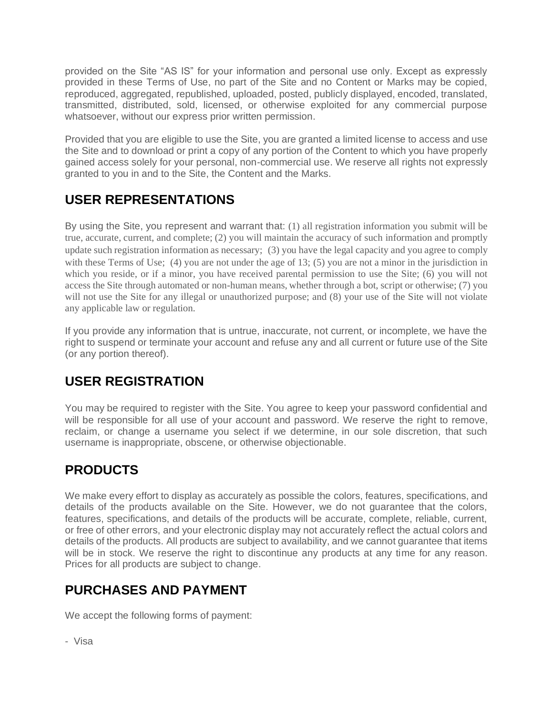provided on the Site "AS IS" for your information and personal use only. Except as expressly provided in these Terms of Use, no part of the Site and no Content or Marks may be copied, reproduced, aggregated, republished, uploaded, posted, publicly displayed, encoded, translated, transmitted, distributed, sold, licensed, or otherwise exploited for any commercial purpose whatsoever, without our express prior written permission.

Provided that you are eligible to use the Site, you are granted a limited license to access and use the Site and to download or print a copy of any portion of the Content to which you have properly gained access solely for your personal, non-commercial use. We reserve all rights not expressly granted to you in and to the Site, the Content and the Marks.

# **USER REPRESENTATIONS**

By using the Site, you represent and warrant that: (1) all registration information you submit will be true, accurate, current, and complete; (2) you will maintain the accuracy of such information and promptly update such registration information as necessary; (3) you have the legal capacity and you agree to comply with these Terms of Use; (4) you are not under the age of 13; (5) you are not a minor in the jurisdiction in which you reside, or if a minor, you have received parental permission to use the Site; (6) you will not access the Site through automated or non-human means, whether through a bot, script or otherwise; (7) you will not use the Site for any illegal or unauthorized purpose; and (8) your use of the Site will not violate any applicable law or regulation.

If you provide any information that is untrue, inaccurate, not current, or incomplete, we have the right to suspend or terminate your account and refuse any and all current or future use of the Site (or any portion thereof).

# **USER REGISTRATION**

You may be required to register with the Site. You agree to keep your password confidential and will be responsible for all use of your account and password. We reserve the right to remove, reclaim, or change a username you select if we determine, in our sole discretion, that such username is inappropriate, obscene, or otherwise objectionable.

# **PRODUCTS**

We make every effort to display as accurately as possible the colors, features, specifications, and details of the products available on the Site. However, we do not guarantee that the colors, features, specifications, and details of the products will be accurate, complete, reliable, current, or free of other errors, and your electronic display may not accurately reflect the actual colors and details of the products. All products are subject to availability, and we cannot guarantee that items will be in stock. We reserve the right to discontinue any products at any time for any reason. Prices for all products are subject to change.

# **PURCHASES AND PAYMENT**

We accept the following forms of payment:

- Visa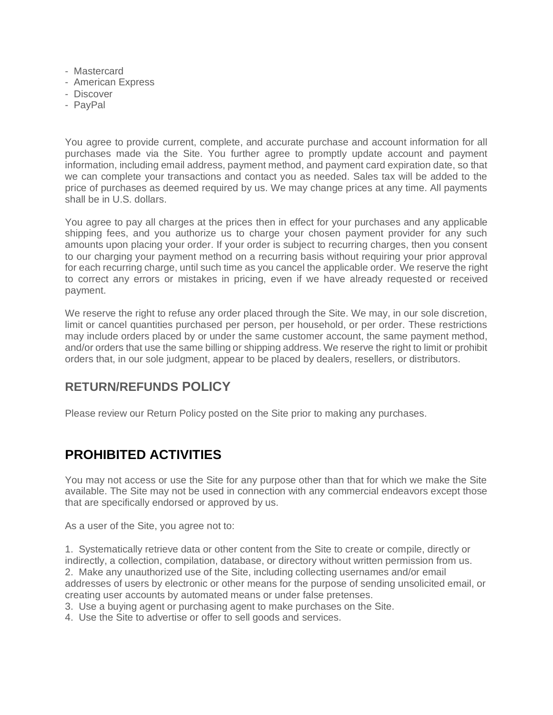- Mastercard
- American Express
- Discover
- PayPal

You agree to provide current, complete, and accurate purchase and account information for all purchases made via the Site. You further agree to promptly update account and payment information, including email address, payment method, and payment card expiration date, so that we can complete your transactions and contact you as needed. Sales tax will be added to the price of purchases as deemed required by us. We may change prices at any time. All payments shall be in U.S. dollars.

You agree to pay all charges at the prices then in effect for your purchases and any applicable shipping fees, and you authorize us to charge your chosen payment provider for any such amounts upon placing your order. If your order is subject to recurring charges, then you consent to our charging your payment method on a recurring basis without requiring your prior approval for each recurring charge, until such time as you cancel the applicable order. We reserve the right to correct any errors or mistakes in pricing, even if we have already requested or received payment.

We reserve the right to refuse any order placed through the Site. We may, in our sole discretion, limit or cancel quantities purchased per person, per household, or per order. These restrictions may include orders placed by or under the same customer account, the same payment method, and/or orders that use the same billing or shipping address. We reserve the right to limit or prohibit orders that, in our sole judgment, appear to be placed by dealers, resellers, or distributors.

### **RETURN/REFUNDS POLICY**

Please review our Return Policy posted on the Site prior to making any purchases.

### **PROHIBITED ACTIVITIES**

You may not access or use the Site for any purpose other than that for which we make the Site available. The Site may not be used in connection with any commercial endeavors except those that are specifically endorsed or approved by us.

As a user of the Site, you agree not to:

1. Systematically retrieve data or other content from the Site to create or compile, directly or indirectly, a collection, compilation, database, or directory without written permission from us. 2. Make any unauthorized use of the Site, including collecting usernames and/or email addresses of users by electronic or other means for the purpose of sending unsolicited email, or creating user accounts by automated means or under false pretenses.

3. Use a buying agent or purchasing agent to make purchases on the Site.

4. Use the Site to advertise or offer to sell goods and services.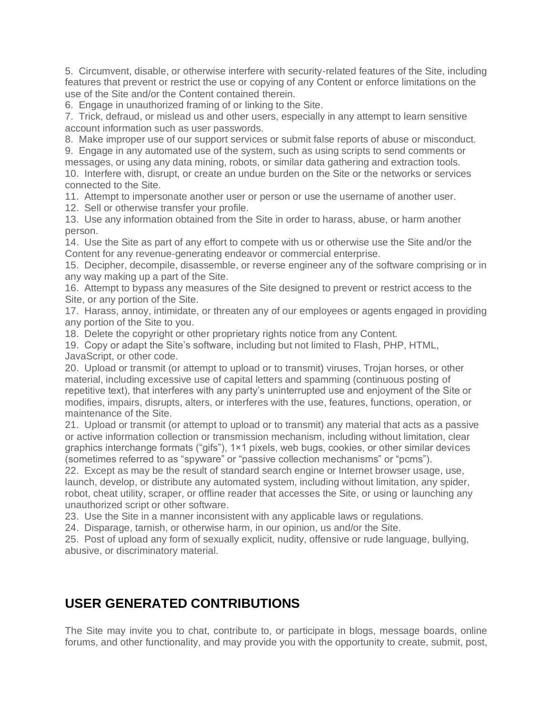5. Circumvent, disable, or otherwise interfere with security-related features of the Site, including features that prevent or restrict the use or copying of any Content or enforce limitations on the use of the Site and/or the Content contained therein.

6. Engage in unauthorized framing of or linking to the Site.

7. Trick, defraud, or mislead us and other users, especially in any attempt to learn sensitive account information such as user passwords.

8. Make improper use of our support services or submit false reports of abuse or misconduct.

9. Engage in any automated use of the system, such as using scripts to send comments or messages, or using any data mining, robots, or similar data gathering and extraction tools. 10. Interfere with, disrupt, or create an undue burden on the Site or the networks or services connected to the Site.

11. Attempt to impersonate another user or person or use the username of another user.

12. Sell or otherwise transfer your profile.

13. Use any information obtained from the Site in order to harass, abuse, or harm another person.

14. Use the Site as part of any effort to compete with us or otherwise use the Site and/or the Content for any revenue-generating endeavor or commercial enterprise.

15. Decipher, decompile, disassemble, or reverse engineer any of the software comprising or in any way making up a part of the Site.

16. Attempt to bypass any measures of the Site designed to prevent or restrict access to the Site, or any portion of the Site.

17. Harass, annoy, intimidate, or threaten any of our employees or agents engaged in providing any portion of the Site to you.

18. Delete the copyright or other proprietary rights notice from any Content.

19. Copy or adapt the Site's software, including but not limited to Flash, PHP, HTML, JavaScript, or other code.

20. Upload or transmit (or attempt to upload or to transmit) viruses, Trojan horses, or other material, including excessive use of capital letters and spamming (continuous posting of repetitive text), that interferes with any party's uninterrupted use and enjoyment of the Site or modifies, impairs, disrupts, alters, or interferes with the use, features, functions, operation, or maintenance of the Site.

21. Upload or transmit (or attempt to upload or to transmit) any material that acts as a passive or active information collection or transmission mechanism, including without limitation, clear graphics interchange formats ("gifs"), 1×1 pixels, web bugs, cookies, or other similar devices (sometimes referred to as "spyware" or "passive collection mechanisms" or "pcms").

22. Except as may be the result of standard search engine or Internet browser usage, use, launch, develop, or distribute any automated system, including without limitation, any spider, robot, cheat utility, scraper, or offline reader that accesses the Site, or using or launching any unauthorized script or other software.

23. Use the Site in a manner inconsistent with any applicable laws or regulations.

24. Disparage, tarnish, or otherwise harm, in our opinion, us and/or the Site.

25. Post of upload any form of sexually explicit, nudity, offensive or rude language, bullying, abusive, or discriminatory material.

### **USER GENERATED CONTRIBUTIONS**

The Site may invite you to chat, contribute to, or participate in blogs, message boards, online forums, and other functionality, and may provide you with the opportunity to create, submit, post,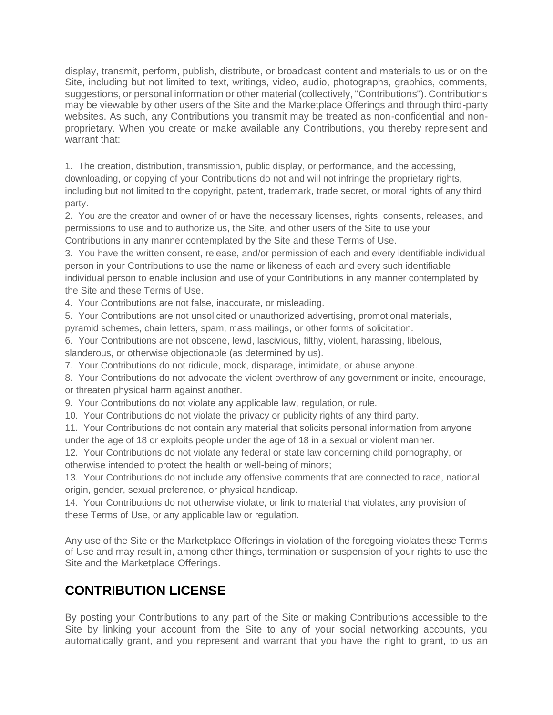display, transmit, perform, publish, distribute, or broadcast content and materials to us or on the Site, including but not limited to text, writings, video, audio, photographs, graphics, comments, suggestions, or personal information or other material (collectively, "Contributions"). Contributions may be viewable by other users of the Site and the Marketplace Offerings and through third-party websites. As such, any Contributions you transmit may be treated as non-confidential and nonproprietary. When you create or make available any Contributions, you thereby represent and warrant that:

1. The creation, distribution, transmission, public display, or performance, and the accessing, downloading, or copying of your Contributions do not and will not infringe the proprietary rights, including but not limited to the copyright, patent, trademark, trade secret, or moral rights of any third party.

2. You are the creator and owner of or have the necessary licenses, rights, consents, releases, and permissions to use and to authorize us, the Site, and other users of the Site to use your Contributions in any manner contemplated by the Site and these Terms of Use.

3. You have the written consent, release, and/or permission of each and every identifiable individual person in your Contributions to use the name or likeness of each and every such identifiable individual person to enable inclusion and use of your Contributions in any manner contemplated by the Site and these Terms of Use.

4. Your Contributions are not false, inaccurate, or misleading.

5. Your Contributions are not unsolicited or unauthorized advertising, promotional materials,

pyramid schemes, chain letters, spam, mass mailings, or other forms of solicitation.

6. Your Contributions are not obscene, lewd, lascivious, filthy, violent, harassing, libelous, slanderous, or otherwise objectionable (as determined by us).

7. Your Contributions do not ridicule, mock, disparage, intimidate, or abuse anyone.

8. Your Contributions do not advocate the violent overthrow of any government or incite, encourage, or threaten physical harm against another.

9. Your Contributions do not violate any applicable law, regulation, or rule.

10. Your Contributions do not violate the privacy or publicity rights of any third party.

11. Your Contributions do not contain any material that solicits personal information from anyone under the age of 18 or exploits people under the age of 18 in a sexual or violent manner.

12. Your Contributions do not violate any federal or state law concerning child pornography, or otherwise intended to protect the health or well-being of minors;

13. Your Contributions do not include any offensive comments that are connected to race, national origin, gender, sexual preference, or physical handicap.

14. Your Contributions do not otherwise violate, or link to material that violates, any provision of these Terms of Use, or any applicable law or regulation.

Any use of the Site or the Marketplace Offerings in violation of the foregoing violates these Terms of Use and may result in, among other things, termination or suspension of your rights to use the Site and the Marketplace Offerings.

# **CONTRIBUTION LICENSE**

By posting your Contributions to any part of the Site or making Contributions accessible to the Site by linking your account from the Site to any of your social networking accounts, you automatically grant, and you represent and warrant that you have the right to grant, to us an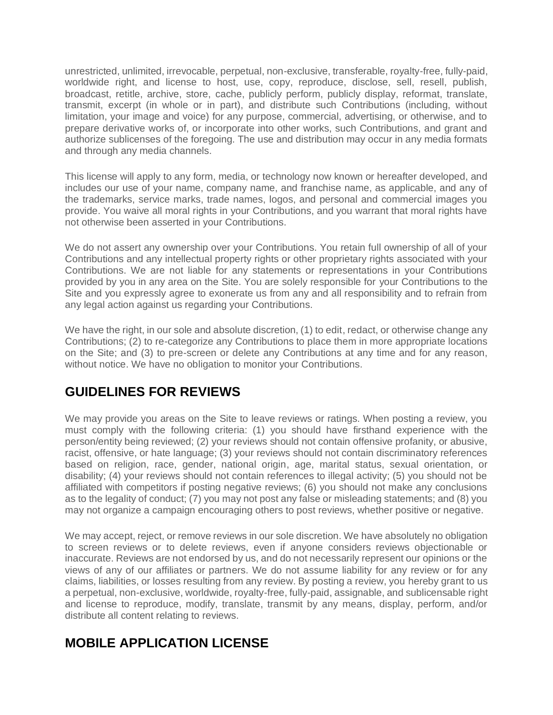unrestricted, unlimited, irrevocable, perpetual, non-exclusive, transferable, royalty-free, fully-paid, worldwide right, and license to host, use, copy, reproduce, disclose, sell, resell, publish, broadcast, retitle, archive, store, cache, publicly perform, publicly display, reformat, translate, transmit, excerpt (in whole or in part), and distribute such Contributions (including, without limitation, your image and voice) for any purpose, commercial, advertising, or otherwise, and to prepare derivative works of, or incorporate into other works, such Contributions, and grant and authorize sublicenses of the foregoing. The use and distribution may occur in any media formats and through any media channels.

This license will apply to any form, media, or technology now known or hereafter developed, and includes our use of your name, company name, and franchise name, as applicable, and any of the trademarks, service marks, trade names, logos, and personal and commercial images you provide. You waive all moral rights in your Contributions, and you warrant that moral rights have not otherwise been asserted in your Contributions.

We do not assert any ownership over your Contributions. You retain full ownership of all of your Contributions and any intellectual property rights or other proprietary rights associated with your Contributions. We are not liable for any statements or representations in your Contributions provided by you in any area on the Site. You are solely responsible for your Contributions to the Site and you expressly agree to exonerate us from any and all responsibility and to refrain from any legal action against us regarding your Contributions.

We have the right, in our sole and absolute discretion, (1) to edit, redact, or otherwise change any Contributions; (2) to re-categorize any Contributions to place them in more appropriate locations on the Site; and (3) to pre-screen or delete any Contributions at any time and for any reason, without notice. We have no obligation to monitor your Contributions.

# **GUIDELINES FOR REVIEWS**

We may provide you areas on the Site to leave reviews or ratings. When posting a review, you must comply with the following criteria: (1) you should have firsthand experience with the person/entity being reviewed; (2) your reviews should not contain offensive profanity, or abusive, racist, offensive, or hate language; (3) your reviews should not contain discriminatory references based on religion, race, gender, national origin, age, marital status, sexual orientation, or disability; (4) your reviews should not contain references to illegal activity; (5) you should not be affiliated with competitors if posting negative reviews; (6) you should not make any conclusions as to the legality of conduct; (7) you may not post any false or misleading statements; and (8) you may not organize a campaign encouraging others to post reviews, whether positive or negative.

We may accept, reject, or remove reviews in our sole discretion. We have absolutely no obligation to screen reviews or to delete reviews, even if anyone considers reviews objectionable or inaccurate. Reviews are not endorsed by us, and do not necessarily represent our opinions or the views of any of our affiliates or partners. We do not assume liability for any review or for any claims, liabilities, or losses resulting from any review. By posting a review, you hereby grant to us a perpetual, non-exclusive, worldwide, royalty-free, fully-paid, assignable, and sublicensable right and license to reproduce, modify, translate, transmit by any means, display, perform, and/or distribute all content relating to reviews.

### **MOBILE APPLICATION LICENSE**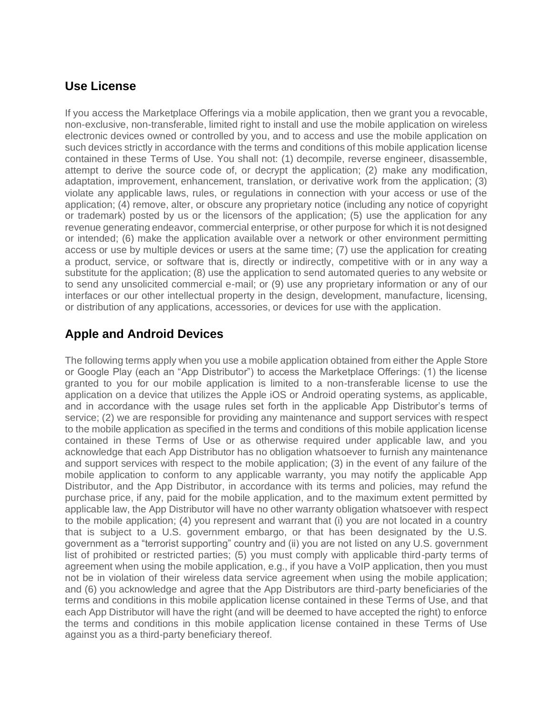#### **Use License**

If you access the Marketplace Offerings via a mobile application, then we grant you a revocable, non-exclusive, non-transferable, limited right to install and use the mobile application on wireless electronic devices owned or controlled by you, and to access and use the mobile application on such devices strictly in accordance with the terms and conditions of this mobile application license contained in these Terms of Use. You shall not: (1) decompile, reverse engineer, disassemble, attempt to derive the source code of, or decrypt the application; (2) make any modification, adaptation, improvement, enhancement, translation, or derivative work from the application; (3) violate any applicable laws, rules, or regulations in connection with your access or use of the application; (4) remove, alter, or obscure any proprietary notice (including any notice of copyright or trademark) posted by us or the licensors of the application; (5) use the application for any revenue generating endeavor, commercial enterprise, or other purpose for which it is not designed or intended; (6) make the application available over a network or other environment permitting access or use by multiple devices or users at the same time; (7) use the application for creating a product, service, or software that is, directly or indirectly, competitive with or in any way a substitute for the application; (8) use the application to send automated queries to any website or to send any unsolicited commercial e-mail; or (9) use any proprietary information or any of our interfaces or our other intellectual property in the design, development, manufacture, licensing, or distribution of any applications, accessories, or devices for use with the application.

### **Apple and Android Devices**

The following terms apply when you use a mobile application obtained from either the Apple Store or Google Play (each an "App Distributor") to access the Marketplace Offerings: (1) the license granted to you for our mobile application is limited to a non-transferable license to use the application on a device that utilizes the Apple iOS or Android operating systems, as applicable, and in accordance with the usage rules set forth in the applicable App Distributor's terms of service; (2) we are responsible for providing any maintenance and support services with respect to the mobile application as specified in the terms and conditions of this mobile application license contained in these Terms of Use or as otherwise required under applicable law, and you acknowledge that each App Distributor has no obligation whatsoever to furnish any maintenance and support services with respect to the mobile application; (3) in the event of any failure of the mobile application to conform to any applicable warranty, you may notify the applicable App Distributor, and the App Distributor, in accordance with its terms and policies, may refund the purchase price, if any, paid for the mobile application, and to the maximum extent permitted by applicable law, the App Distributor will have no other warranty obligation whatsoever with respect to the mobile application; (4) you represent and warrant that (i) you are not located in a country that is subject to a U.S. government embargo, or that has been designated by the U.S. government as a "terrorist supporting" country and (ii) you are not listed on any U.S. government list of prohibited or restricted parties; (5) you must comply with applicable third-party terms of agreement when using the mobile application, e.g., if you have a VoIP application, then you must not be in violation of their wireless data service agreement when using the mobile application; and (6) you acknowledge and agree that the App Distributors are third-party beneficiaries of the terms and conditions in this mobile application license contained in these Terms of Use, and that each App Distributor will have the right (and will be deemed to have accepted the right) to enforce the terms and conditions in this mobile application license contained in these Terms of Use against you as a third-party beneficiary thereof.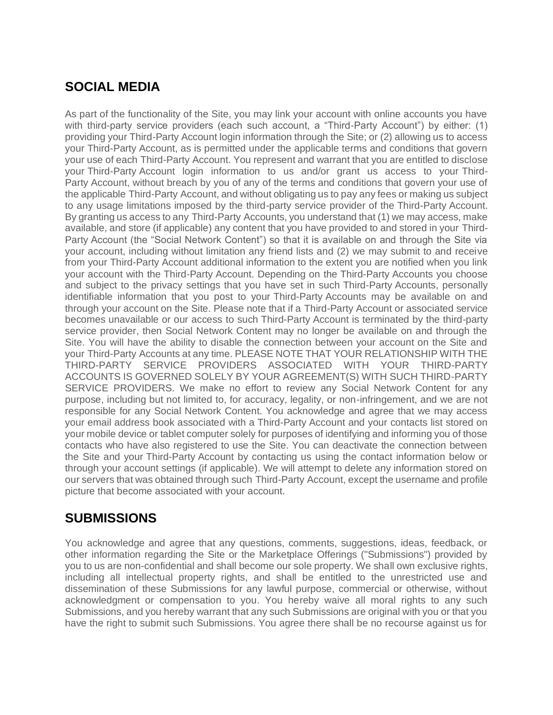# **SOCIAL MEDIA**

As part of the functionality of the Site, you may link your account with online accounts you have with third-party service providers (each such account, a "Third-Party Account") by either: (1) providing your Third-Party Account login information through the Site; or (2) allowing us to access your Third-Party Account, as is permitted under the applicable terms and conditions that govern your use of each Third-Party Account. You represent and warrant that you are entitled to disclose your Third-Party Account login information to us and/or grant us access to your Third-Party Account, without breach by you of any of the terms and conditions that govern your use of the applicable Third-Party Account, and without obligating us to pay any fees or making us subject to any usage limitations imposed by the third-party service provider of the Third-Party Account. By granting us access to any Third-Party Accounts, you understand that (1) we may access, make available, and store (if applicable) any content that you have provided to and stored in your Third-Party Account (the "Social Network Content") so that it is available on and through the Site via your account, including without limitation any friend lists and (2) we may submit to and receive from your Third-Party Account additional information to the extent you are notified when you link your account with the Third-Party Account. Depending on the Third-Party Accounts you choose and subject to the privacy settings that you have set in such Third-Party Accounts, personally identifiable information that you post to your Third-Party Accounts may be available on and through your account on the Site. Please note that if a Third-Party Account or associated service becomes unavailable or our access to such Third-Party Account is terminated by the third-party service provider, then Social Network Content may no longer be available on and through the Site. You will have the ability to disable the connection between your account on the Site and your Third-Party Accounts at any time. PLEASE NOTE THAT YOUR RELATIONSHIP WITH THE THIRD-PARTY SERVICE PROVIDERS ASSOCIATED WITH YOUR THIRD-PARTY ACCOUNTS IS GOVERNED SOLELY BY YOUR AGREEMENT(S) WITH SUCH THIRD-PARTY SERVICE PROVIDERS. We make no effort to review any Social Network Content for any purpose, including but not limited to, for accuracy, legality, or non-infringement, and we are not responsible for any Social Network Content. You acknowledge and agree that we may access your email address book associated with a Third-Party Account and your contacts list stored on your mobile device or tablet computer solely for purposes of identifying and informing you of those contacts who have also registered to use the Site. You can deactivate the connection between the Site and your Third-Party Account by contacting us using the contact information below or through your account settings (if applicable). We will attempt to delete any information stored on our servers that was obtained through such Third-Party Account, except the username and profile picture that become associated with your account.

### **SUBMISSIONS**

You acknowledge and agree that any questions, comments, suggestions, ideas, feedback, or other information regarding the Site or the Marketplace Offerings ("Submissions") provided by you to us are non-confidential and shall become our sole property. We shall own exclusive rights, including all intellectual property rights, and shall be entitled to the unrestricted use and dissemination of these Submissions for any lawful purpose, commercial or otherwise, without acknowledgment or compensation to you. You hereby waive all moral rights to any such Submissions, and you hereby warrant that any such Submissions are original with you or that you have the right to submit such Submissions. You agree there shall be no recourse against us for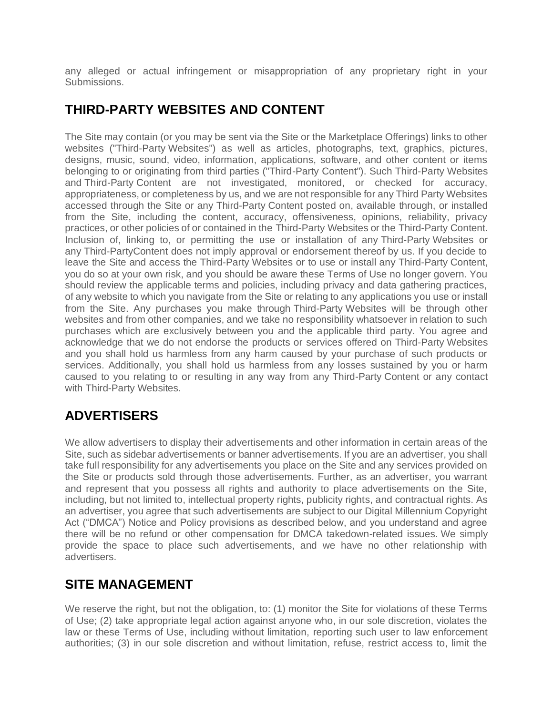any alleged or actual infringement or misappropriation of any proprietary right in your Submissions.

### **THIRD-PARTY WEBSITES AND CONTENT**

The Site may contain (or you may be sent via the Site or the Marketplace Offerings) links to other websites ("Third-Party Websites") as well as articles, photographs, text, graphics, pictures, designs, music, sound, video, information, applications, software, and other content or items belonging to or originating from third parties ("Third-Party Content"). Such Third-Party Websites and Third-Party Content are not investigated, monitored, or checked for accuracy, appropriateness, or completeness by us, and we are not responsible for any Third Party Websites accessed through the Site or any Third-Party Content posted on, available through, or installed from the Site, including the content, accuracy, offensiveness, opinions, reliability, privacy practices, or other policies of or contained in the Third-Party Websites or the Third-Party Content. Inclusion of, linking to, or permitting the use or installation of any Third-Party Websites or any Third-PartyContent does not imply approval or endorsement thereof by us. If you decide to leave the Site and access the Third-Party Websites or to use or install any Third-Party Content, you do so at your own risk, and you should be aware these Terms of Use no longer govern. You should review the applicable terms and policies, including privacy and data gathering practices, of any website to which you navigate from the Site or relating to any applications you use or install from the Site. Any purchases you make through Third-Party Websites will be through other websites and from other companies, and we take no responsibility whatsoever in relation to such purchases which are exclusively between you and the applicable third party. You agree and acknowledge that we do not endorse the products or services offered on Third-Party Websites and you shall hold us harmless from any harm caused by your purchase of such products or services. Additionally, you shall hold us harmless from any losses sustained by you or harm caused to you relating to or resulting in any way from any Third-Party Content or any contact with Third-Party Websites.

# **ADVERTISERS**

We allow advertisers to display their advertisements and other information in certain areas of the Site, such as sidebar advertisements or banner advertisements. If you are an advertiser, you shall take full responsibility for any advertisements you place on the Site and any services provided on the Site or products sold through those advertisements. Further, as an advertiser, you warrant and represent that you possess all rights and authority to place advertisements on the Site, including, but not limited to, intellectual property rights, publicity rights, and contractual rights. As an advertiser, you agree that such advertisements are subject to our Digital Millennium Copyright Act ("DMCA") Notice and Policy provisions as described below, and you understand and agree there will be no refund or other compensation for DMCA takedown-related issues. We simply provide the space to place such advertisements, and we have no other relationship with advertisers.

### **SITE MANAGEMENT**

We reserve the right, but not the obligation, to: (1) monitor the Site for violations of these Terms of Use; (2) take appropriate legal action against anyone who, in our sole discretion, violates the law or these Terms of Use, including without limitation, reporting such user to law enforcement authorities; (3) in our sole discretion and without limitation, refuse, restrict access to, limit the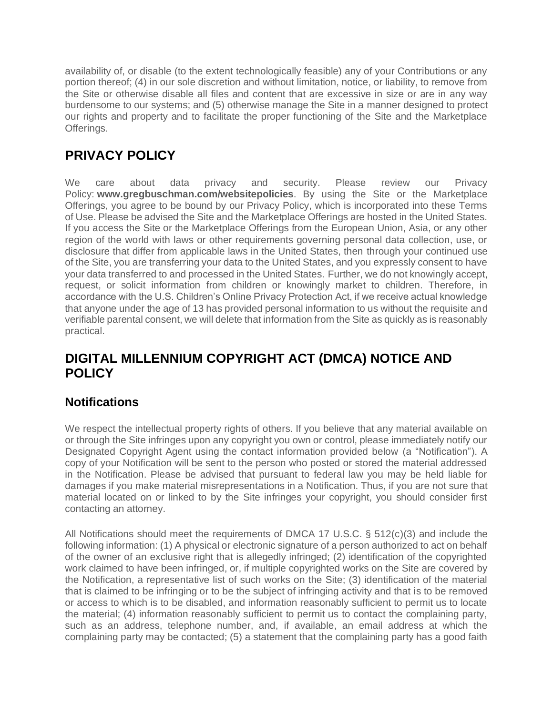availability of, or disable (to the extent technologically feasible) any of your Contributions or any portion thereof; (4) in our sole discretion and without limitation, notice, or liability, to remove from the Site or otherwise disable all files and content that are excessive in size or are in any way burdensome to our systems; and (5) otherwise manage the Site in a manner designed to protect our rights and property and to facilitate the proper functioning of the Site and the Marketplace Offerings.

# **PRIVACY POLICY**

We care about data privacy and security. Please review our Privacy Policy: **www.gregbuschman.com/websitepolicies**. By using the Site or the Marketplace Offerings, you agree to be bound by our Privacy Policy, which is incorporated into these Terms of Use. Please be advised the Site and the Marketplace Offerings are hosted in the United States. If you access the Site or the Marketplace Offerings from the European Union, Asia, or any other region of the world with laws or other requirements governing personal data collection, use, or disclosure that differ from applicable laws in the United States, then through your continued use of the Site, you are transferring your data to the United States, and you expressly consent to have your data transferred to and processed in the United States. Further, we do not knowingly accept, request, or solicit information from children or knowingly market to children. Therefore, in accordance with the U.S. Children's Online Privacy Protection Act, if we receive actual knowledge that anyone under the age of 13 has provided personal information to us without the requisite and verifiable parental consent, we will delete that information from the Site as quickly as is reasonably practical.

### **DIGITAL MILLENNIUM COPYRIGHT ACT (DMCA) NOTICE AND POLICY**

#### **Notifications**

We respect the intellectual property rights of others. If you believe that any material available on or through the Site infringes upon any copyright you own or control, please immediately notify our Designated Copyright Agent using the contact information provided below (a "Notification"). A copy of your Notification will be sent to the person who posted or stored the material addressed in the Notification. Please be advised that pursuant to federal law you may be held liable for damages if you make material misrepresentations in a Notification. Thus, if you are not sure that material located on or linked to by the Site infringes your copyright, you should consider first contacting an attorney.

All Notifications should meet the requirements of DMCA 17 U.S.C. § 512(c)(3) and include the following information: (1) A physical or electronic signature of a person authorized to act on behalf of the owner of an exclusive right that is allegedly infringed; (2) identification of the copyrighted work claimed to have been infringed, or, if multiple copyrighted works on the Site are covered by the Notification, a representative list of such works on the Site; (3) identification of the material that is claimed to be infringing or to be the subject of infringing activity and that is to be removed or access to which is to be disabled, and information reasonably sufficient to permit us to locate the material; (4) information reasonably sufficient to permit us to contact the complaining party, such as an address, telephone number, and, if available, an email address at which the complaining party may be contacted; (5) a statement that the complaining party has a good faith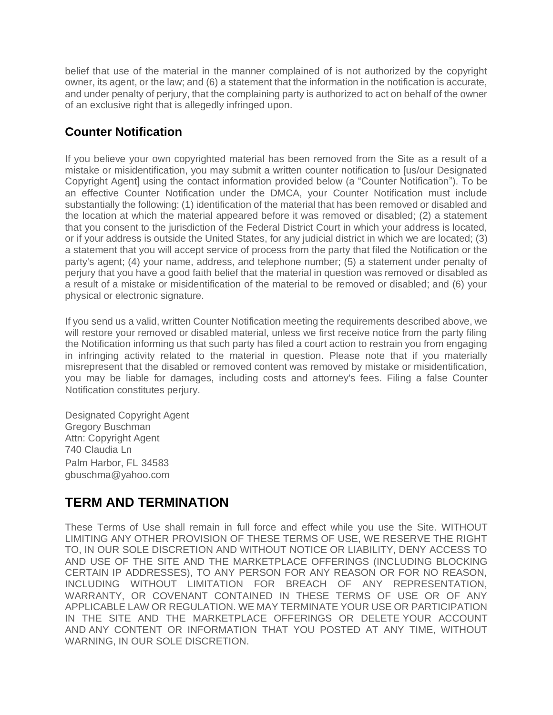belief that use of the material in the manner complained of is not authorized by the copyright owner, its agent, or the law; and (6) a statement that the information in the notification is accurate, and under penalty of perjury, that the complaining party is authorized to act on behalf of the owner of an exclusive right that is allegedly infringed upon.

### **Counter Notification**

If you believe your own copyrighted material has been removed from the Site as a result of a mistake or misidentification, you may submit a written counter notification to [us/our Designated Copyright Agent] using the contact information provided below (a "Counter Notification"). To be an effective Counter Notification under the DMCA, your Counter Notification must include substantially the following: (1) identification of the material that has been removed or disabled and the location at which the material appeared before it was removed or disabled; (2) a statement that you consent to the jurisdiction of the Federal District Court in which your address is located, or if your address is outside the United States, for any judicial district in which we are located; (3) a statement that you will accept service of process from the party that filed the Notification or the party's agent; (4) your name, address, and telephone number; (5) a statement under penalty of perjury that you have a good faith belief that the material in question was removed or disabled as a result of a mistake or misidentification of the material to be removed or disabled; and (6) your physical or electronic signature.

If you send us a valid, written Counter Notification meeting the requirements described above, we will restore your removed or disabled material, unless we first receive notice from the party filing the Notification informing us that such party has filed a court action to restrain you from engaging in infringing activity related to the material in question. Please note that if you materially misrepresent that the disabled or removed content was removed by mistake or misidentification, you may be liable for damages, including costs and attorney's fees. Filing a false Counter Notification constitutes perjury.

Designated Copyright Agent Gregory Buschman Attn: Copyright Agent 740 Claudia Ln Palm Harbor, FL 34583 gbuschma@yahoo.com

# **TERM AND TERMINATION**

These Terms of Use shall remain in full force and effect while you use the Site. WITHOUT LIMITING ANY OTHER PROVISION OF THESE TERMS OF USE, WE RESERVE THE RIGHT TO, IN OUR SOLE DISCRETION AND WITHOUT NOTICE OR LIABILITY, DENY ACCESS TO AND USE OF THE SITE AND THE MARKETPLACE OFFERINGS (INCLUDING BLOCKING CERTAIN IP ADDRESSES), TO ANY PERSON FOR ANY REASON OR FOR NO REASON, INCLUDING WITHOUT LIMITATION FOR BREACH OF ANY REPRESENTATION, WARRANTY, OR COVENANT CONTAINED IN THESE TERMS OF USE OR OF ANY APPLICABLE LAW OR REGULATION. WE MAY TERMINATE YOUR USE OR PARTICIPATION IN THE SITE AND THE MARKETPLACE OFFERINGS OR DELETE YOUR ACCOUNT AND ANY CONTENT OR INFORMATION THAT YOU POSTED AT ANY TIME, WITHOUT WARNING, IN OUR SOLE DISCRETION.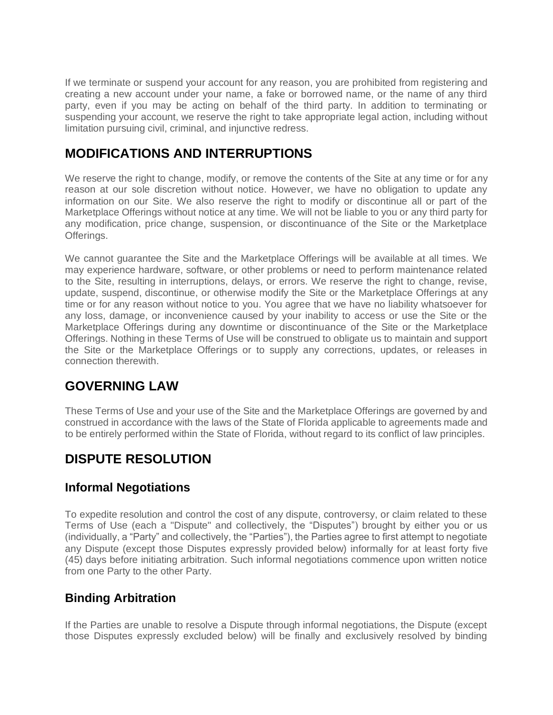If we terminate or suspend your account for any reason, you are prohibited from registering and creating a new account under your name, a fake or borrowed name, or the name of any third party, even if you may be acting on behalf of the third party. In addition to terminating or suspending your account, we reserve the right to take appropriate legal action, including without limitation pursuing civil, criminal, and injunctive redress.

# **MODIFICATIONS AND INTERRUPTIONS**

We reserve the right to change, modify, or remove the contents of the Site at any time or for any reason at our sole discretion without notice. However, we have no obligation to update any information on our Site. We also reserve the right to modify or discontinue all or part of the Marketplace Offerings without notice at any time. We will not be liable to you or any third party for any modification, price change, suspension, or discontinuance of the Site or the Marketplace Offerings.

We cannot guarantee the Site and the Marketplace Offerings will be available at all times. We may experience hardware, software, or other problems or need to perform maintenance related to the Site, resulting in interruptions, delays, or errors. We reserve the right to change, revise, update, suspend, discontinue, or otherwise modify the Site or the Marketplace Offerings at any time or for any reason without notice to you. You agree that we have no liability whatsoever for any loss, damage, or inconvenience caused by your inability to access or use the Site or the Marketplace Offerings during any downtime or discontinuance of the Site or the Marketplace Offerings. Nothing in these Terms of Use will be construed to obligate us to maintain and support the Site or the Marketplace Offerings or to supply any corrections, updates, or releases in connection therewith.

# **GOVERNING LAW**

These Terms of Use and your use of the Site and the Marketplace Offerings are governed by and construed in accordance with the laws of the State of Florida applicable to agreements made and to be entirely performed within the State of Florida, without regard to its conflict of law principles.

# **DISPUTE RESOLUTION**

### **Informal Negotiations**

To expedite resolution and control the cost of any dispute, controversy, or claim related to these Terms of Use (each a "Dispute" and collectively, the "Disputes") brought by either you or us (individually, a "Party" and collectively, the "Parties"), the Parties agree to first attempt to negotiate any Dispute (except those Disputes expressly provided below) informally for at least forty five (45) days before initiating arbitration. Such informal negotiations commence upon written notice from one Party to the other Party.

#### **Binding Arbitration**

If the Parties are unable to resolve a Dispute through informal negotiations, the Dispute (except those Disputes expressly excluded below) will be finally and exclusively resolved by binding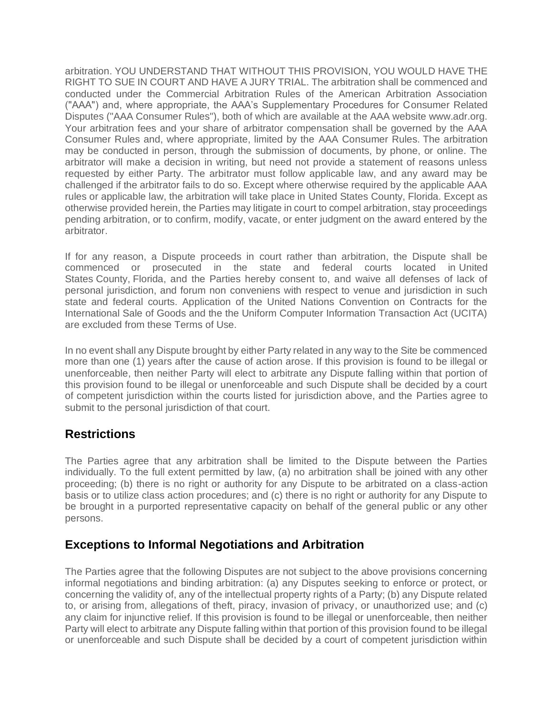arbitration. YOU UNDERSTAND THAT WITHOUT THIS PROVISION, YOU WOULD HAVE THE RIGHT TO SUE IN COURT AND HAVE A JURY TRIAL. The arbitration shall be commenced and conducted under the Commercial Arbitration Rules of the American Arbitration Association ("AAA") and, where appropriate, the AAA's Supplementary Procedures for Consumer Related Disputes ("AAA Consumer Rules"), both of which are available at the AAA website www.adr.org. Your arbitration fees and your share of arbitrator compensation shall be governed by the AAA Consumer Rules and, where appropriate, limited by the AAA Consumer Rules. The arbitration may be conducted in person, through the submission of documents, by phone, or online. The arbitrator will make a decision in writing, but need not provide a statement of reasons unless requested by either Party. The arbitrator must follow applicable law, and any award may be challenged if the arbitrator fails to do so. Except where otherwise required by the applicable AAA rules or applicable law, the arbitration will take place in United States County, Florida. Except as otherwise provided herein, the Parties may litigate in court to compel arbitration, stay proceedings pending arbitration, or to confirm, modify, vacate, or enter judgment on the award entered by the arbitrator.

If for any reason, a Dispute proceeds in court rather than arbitration, the Dispute shall be commenced or prosecuted in the state and federal courts located in United States County, Florida, and the Parties hereby consent to, and waive all defenses of lack of personal jurisdiction, and forum non conveniens with respect to venue and jurisdiction in such state and federal courts. Application of the United Nations Convention on Contracts for the International Sale of Goods and the the Uniform Computer Information Transaction Act (UCITA) are excluded from these Terms of Use.

In no event shall any Dispute brought by either Party related in any way to the Site be commenced more than one (1) years after the cause of action arose. If this provision is found to be illegal or unenforceable, then neither Party will elect to arbitrate any Dispute falling within that portion of this provision found to be illegal or unenforceable and such Dispute shall be decided by a court of competent jurisdiction within the courts listed for jurisdiction above, and the Parties agree to submit to the personal jurisdiction of that court.

#### **Restrictions**

The Parties agree that any arbitration shall be limited to the Dispute between the Parties individually. To the full extent permitted by law, (a) no arbitration shall be joined with any other proceeding; (b) there is no right or authority for any Dispute to be arbitrated on a class-action basis or to utilize class action procedures; and (c) there is no right or authority for any Dispute to be brought in a purported representative capacity on behalf of the general public or any other persons.

#### **Exceptions to Informal Negotiations and Arbitration**

The Parties agree that the following Disputes are not subject to the above provisions concerning informal negotiations and binding arbitration: (a) any Disputes seeking to enforce or protect, or concerning the validity of, any of the intellectual property rights of a Party; (b) any Dispute related to, or arising from, allegations of theft, piracy, invasion of privacy, or unauthorized use; and (c) any claim for injunctive relief. If this provision is found to be illegal or unenforceable, then neither Party will elect to arbitrate any Dispute falling within that portion of this provision found to be illegal or unenforceable and such Dispute shall be decided by a court of competent jurisdiction within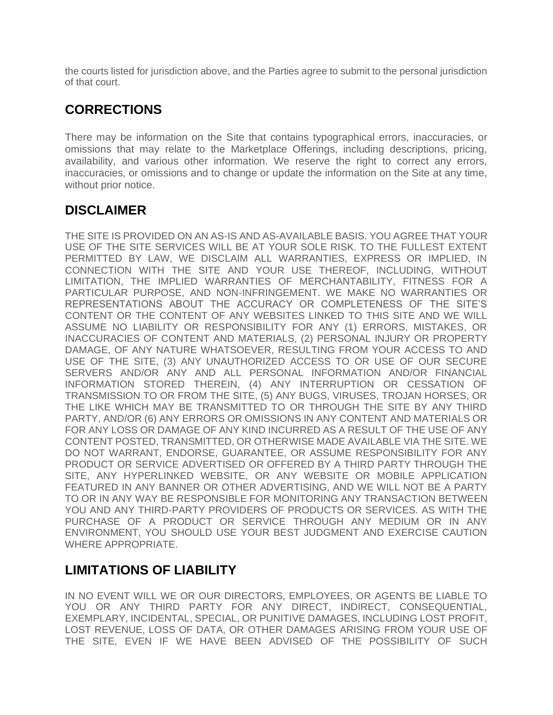the courts listed for jurisdiction above, and the Parties agree to submit to the personal jurisdiction of that court.

# **CORRECTIONS**

There may be information on the Site that contains typographical errors, inaccuracies, or omissions that may relate to the Marketplace Offerings, including descriptions, pricing, availability, and various other information. We reserve the right to correct any errors, inaccuracies, or omissions and to change or update the information on the Site at any time, without prior notice.

### **DISCLAIMER**

THE SITE IS PROVIDED ON AN AS-IS AND AS-AVAILABLE BASIS. YOU AGREE THAT YOUR USE OF THE SITE SERVICES WILL BE AT YOUR SOLE RISK. TO THE FULLEST EXTENT PERMITTED BY LAW, WE DISCLAIM ALL WARRANTIES, EXPRESS OR IMPLIED, IN CONNECTION WITH THE SITE AND YOUR USE THEREOF, INCLUDING, WITHOUT LIMITATION, THE IMPLIED WARRANTIES OF MERCHANTABILITY, FITNESS FOR A PARTICULAR PURPOSE, AND NON-INFRINGEMENT. WE MAKE NO WARRANTIES OR REPRESENTATIONS ABOUT THE ACCURACY OR COMPLETENESS OF THE SITE'S CONTENT OR THE CONTENT OF ANY WEBSITES LINKED TO THIS SITE AND WE WILL ASSUME NO LIABILITY OR RESPONSIBILITY FOR ANY (1) ERRORS, MISTAKES, OR INACCURACIES OF CONTENT AND MATERIALS, (2) PERSONAL INJURY OR PROPERTY DAMAGE, OF ANY NATURE WHATSOEVER, RESULTING FROM YOUR ACCESS TO AND USE OF THE SITE, (3) ANY UNAUTHORIZED ACCESS TO OR USE OF OUR SECURE SERVERS AND/OR ANY AND ALL PERSONAL INFORMATION AND/OR FINANCIAL INFORMATION STORED THEREIN, (4) ANY INTERRUPTION OR CESSATION OF TRANSMISSION TO OR FROM THE SITE, (5) ANY BUGS, VIRUSES, TROJAN HORSES, OR THE LIKE WHICH MAY BE TRANSMITTED TO OR THROUGH THE SITE BY ANY THIRD PARTY, AND/OR (6) ANY ERRORS OR OMISSIONS IN ANY CONTENT AND MATERIALS OR FOR ANY LOSS OR DAMAGE OF ANY KIND INCURRED AS A RESULT OF THE USE OF ANY CONTENT POSTED, TRANSMITTED, OR OTHERWISE MADE AVAILABLE VIA THE SITE. WE DO NOT WARRANT, ENDORSE, GUARANTEE, OR ASSUME RESPONSIBILITY FOR ANY PRODUCT OR SERVICE ADVERTISED OR OFFERED BY A THIRD PARTY THROUGH THE SITE, ANY HYPERLINKED WEBSITE, OR ANY WEBSITE OR MOBILE APPLICATION FEATURED IN ANY BANNER OR OTHER ADVERTISING, AND WE WILL NOT BE A PARTY TO OR IN ANY WAY BE RESPONSIBLE FOR MONITORING ANY TRANSACTION BETWEEN YOU AND ANY THIRD-PARTY PROVIDERS OF PRODUCTS OR SERVICES. AS WITH THE PURCHASE OF A PRODUCT OR SERVICE THROUGH ANY MEDIUM OR IN ANY ENVIRONMENT, YOU SHOULD USE YOUR BEST JUDGMENT AND EXERCISE CAUTION WHERE APPROPRIATE.

# **LIMITATIONS OF LIABILITY**

IN NO EVENT WILL WE OR OUR DIRECTORS, EMPLOYEES, OR AGENTS BE LIABLE TO YOU OR ANY THIRD PARTY FOR ANY DIRECT, INDIRECT, CONSEQUENTIAL, EXEMPLARY, INCIDENTAL, SPECIAL, OR PUNITIVE DAMAGES, INCLUDING LOST PROFIT, LOST REVENUE, LOSS OF DATA, OR OTHER DAMAGES ARISING FROM YOUR USE OF THE SITE, EVEN IF WE HAVE BEEN ADVISED OF THE POSSIBILITY OF SUCH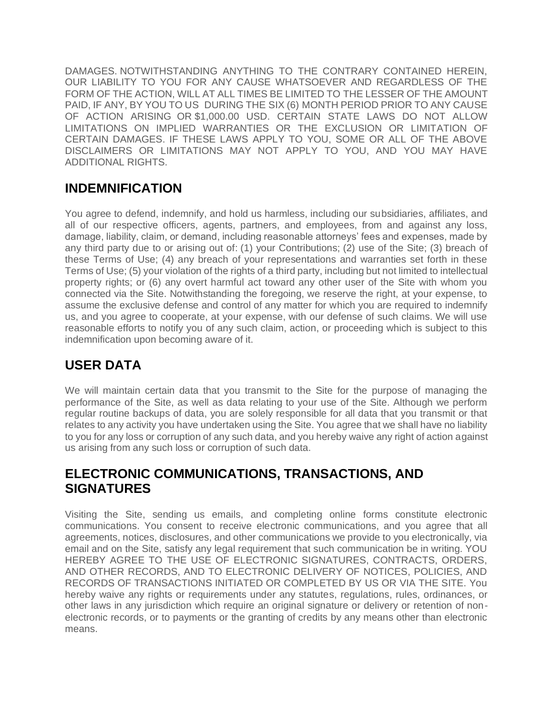DAMAGES. NOTWITHSTANDING ANYTHING TO THE CONTRARY CONTAINED HEREIN, OUR LIABILITY TO YOU FOR ANY CAUSE WHATSOEVER AND REGARDLESS OF THE FORM OF THE ACTION, WILL AT ALL TIMES BE LIMITED TO THE LESSER OF THE AMOUNT PAID, IF ANY, BY YOU TO US DURING THE SIX (6) MONTH PERIOD PRIOR TO ANY CAUSE OF ACTION ARISING OR \$1,000.00 USD. CERTAIN STATE LAWS DO NOT ALLOW LIMITATIONS ON IMPLIED WARRANTIES OR THE EXCLUSION OR LIMITATION OF CERTAIN DAMAGES. IF THESE LAWS APPLY TO YOU, SOME OR ALL OF THE ABOVE DISCLAIMERS OR LIMITATIONS MAY NOT APPLY TO YOU, AND YOU MAY HAVE ADDITIONAL RIGHTS.

### **INDEMNIFICATION**

You agree to defend, indemnify, and hold us harmless, including our subsidiaries, affiliates, and all of our respective officers, agents, partners, and employees, from and against any loss, damage, liability, claim, or demand, including reasonable attorneys' fees and expenses, made by any third party due to or arising out of: (1) your Contributions; (2) use of the Site; (3) breach of these Terms of Use; (4) any breach of your representations and warranties set forth in these Terms of Use; (5) your violation of the rights of a third party, including but not limited to intellectual property rights; or (6) any overt harmful act toward any other user of the Site with whom you connected via the Site. Notwithstanding the foregoing, we reserve the right, at your expense, to assume the exclusive defense and control of any matter for which you are required to indemnify us, and you agree to cooperate, at your expense, with our defense of such claims. We will use reasonable efforts to notify you of any such claim, action, or proceeding which is subject to this indemnification upon becoming aware of it.

# **USER DATA**

We will maintain certain data that you transmit to the Site for the purpose of managing the performance of the Site, as well as data relating to your use of the Site. Although we perform regular routine backups of data, you are solely responsible for all data that you transmit or that relates to any activity you have undertaken using the Site. You agree that we shall have no liability to you for any loss or corruption of any such data, and you hereby waive any right of action against us arising from any such loss or corruption of such data.

### **ELECTRONIC COMMUNICATIONS, TRANSACTIONS, AND SIGNATURES**

Visiting the Site, sending us emails, and completing online forms constitute electronic communications. You consent to receive electronic communications, and you agree that all agreements, notices, disclosures, and other communications we provide to you electronically, via email and on the Site, satisfy any legal requirement that such communication be in writing. YOU HEREBY AGREE TO THE USE OF ELECTRONIC SIGNATURES, CONTRACTS, ORDERS, AND OTHER RECORDS, AND TO ELECTRONIC DELIVERY OF NOTICES, POLICIES, AND RECORDS OF TRANSACTIONS INITIATED OR COMPLETED BY US OR VIA THE SITE. You hereby waive any rights or requirements under any statutes, regulations, rules, ordinances, or other laws in any jurisdiction which require an original signature or delivery or retention of nonelectronic records, or to payments or the granting of credits by any means other than electronic means.